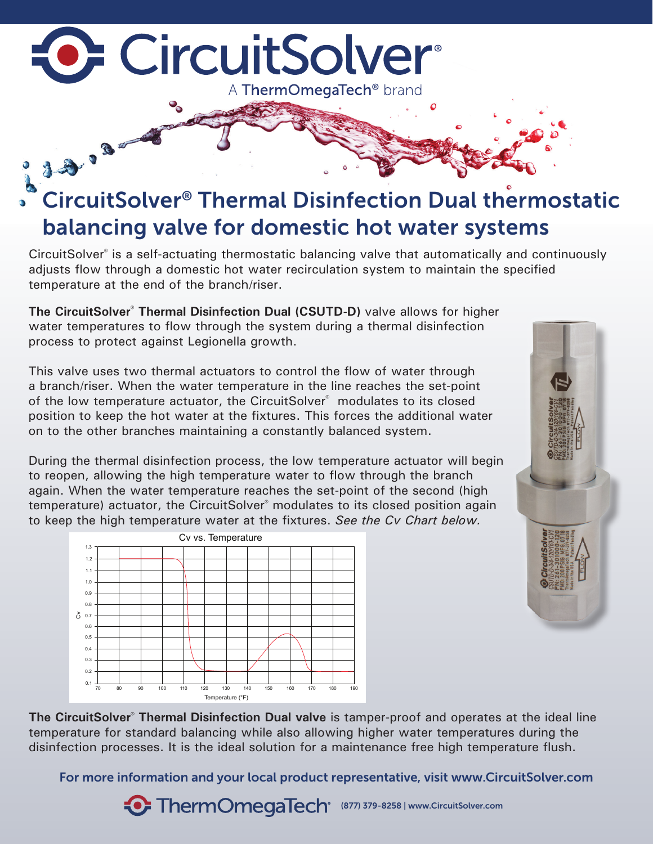## **D.** CircuitSolver® A ThermOmegaTech<sup>®</sup> brand

# 33.3 CircuitSolver® Thermal Disinfection Dual thermostatic balancing valve for domestic hot water systems

CircuitSolver® is a self-actuating thermostatic balancing valve that automatically and continuously adjusts flow through a domestic hot water recirculation system to maintain the specified temperature at the end of the branch/riser.

**The CircuitSolver<sup>®</sup> Thermal Disinfection Dual (CSUTD-D)** valve allows for higher water temperatures to flow through the system during a thermal disinfection process to protect against Legionella growth.

This valve uses two thermal actuators to control the flow of water through a branch/riser. When the water temperature in the line reaches the set-point of the low temperature actuator, the CircuitSolver® modulates to its closed position to keep the hot water at the fixtures. This forces the additional water on to the other branches maintaining a constantly balanced system.

During the thermal disinfection process, the low temperature actuator will begin to reopen, allowing the high temperature water to flow through the branch again. When the water temperature reaches the set-point of the second (high temperature) actuator, the CircuitSolver® modulates to its closed position again to keep the high temperature water at the fixtures. *See the Cv Chart below.*





**The CircuitSolver<sup>®</sup> Thermal Disinfection Dual valve** is tamper-proof and operates at the ideal line temperature for standard balancing while also allowing higher water temperatures during the disinfection processes. It is the ideal solution for a maintenance free high temperature flush.

For more information and your local product representative, visit www.CircuitSolver.com

**• ThermOmegaTech** (877) 379-8258 | www.CircuitSolver.com